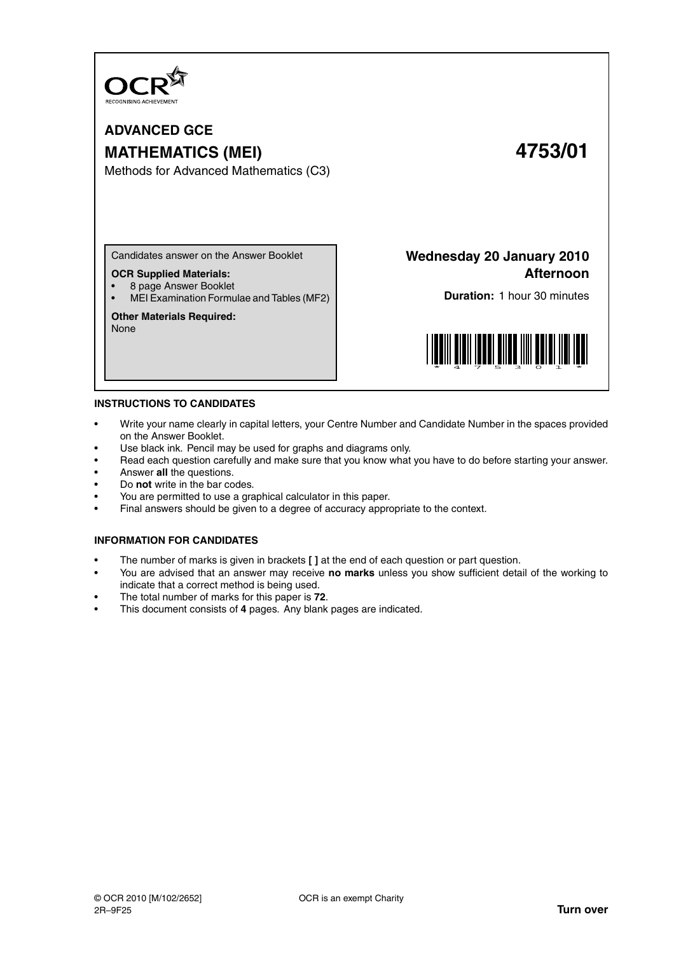

# **ADVANCED GCE MATHEMATICS (MEI) 4753/01**

Methods for Advanced Mathematics (C3)

Candidates answer on the Answer Booklet

#### **OCR Supplied Materials:**

• 8 page Answer Booklet

• MEI Examination Formulae and Tables (MF2)

### **Other Materials Required:**

None

**Wednesday 20 January 2010 Afternoon**

**Duration:** 1 hour 30 minutes



#### **INSTRUCTIONS TO CANDIDATES**

- Write your name clearly in capital letters, your Centre Number and Candidate Number in the spaces provided on the Answer Booklet.
- Use black ink. Pencil may be used for graphs and diagrams only.
- Read each question carefully and make sure that you know what you have to do before starting your answer.
- Answer **all** the questions.
- Do **not** write in the bar codes.
- You are permitted to use a graphical calculator in this paper.
- Final answers should be given to a degree of accuracy appropriate to the context.

#### **INFORMATION FOR CANDIDATES**

- The number of marks is given in brackets **[ ]** at the end of each question or part question.
- You are advised that an answer may receive **no marks** unless you show sufficient detail of the working to indicate that a correct method is being used.
- The total number of marks for this paper is **72**.
- This document consists of **4** pages. Any blank pages are indicated.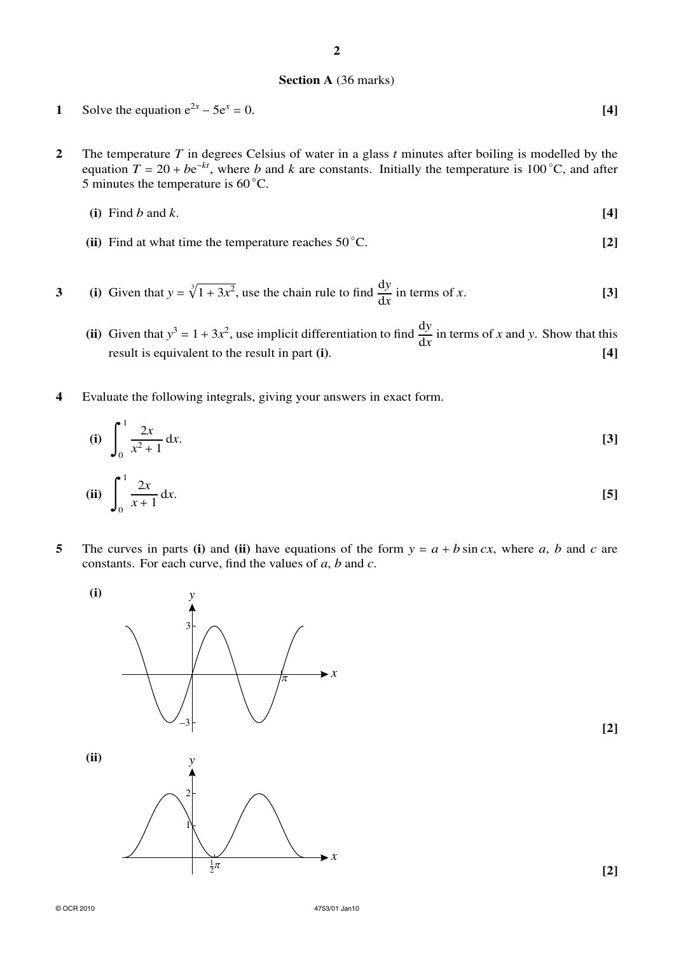# **Section A** (36 marks)

**2**

1 Solve the equation 
$$
e^{2x} - 5e^x = 0
$$
. [4]

**2** The temperature *T* in degrees Celsius of water in a glass *t* minutes after boiling is modelled by the equation  $T = 20 + be^{-kt}$ , where *b* and *k* are constants. Initially the temperature is 100 °C, and after 5 minutes the temperature is  $60^{\circ}$ C.

(i) Find 
$$
b
$$
 and  $k$ .
$$
\tag{4}
$$

**(ii)** Find at what time the temperature reaches 50 °C. **[2]** 

3 (i) Given that 
$$
y = \sqrt[3]{1 + 3x^2}
$$
, use the chain rule to find  $\frac{dy}{dx}$  in terms of x. [3]

- (ii) Given that  $y^3 = 1 + 3x^2$ , use implicit differentiation to find  $\frac{dy}{dx}$  in terms of *x* and *y*. Show that this result is equivalent to the result in part **(i)**. **[4]**
- **4** Evaluate the following integrals, giving your answers in exact form.

(i) 
$$
\int_0^1 \frac{2x}{x^2 + 1} dx.
$$
 [3]

(ii) 
$$
\int_0^1 \frac{2x}{x+1} dx.
$$
 [5]

**5** The curves in parts (i) and (ii) have equations of the form  $y = a + b \sin cx$ , where *a*, *b* and *c* are constants. For each curve, find the values of *a*, *b* and *c*.



**[2]**

© OCR 2010 4753/01 Jan10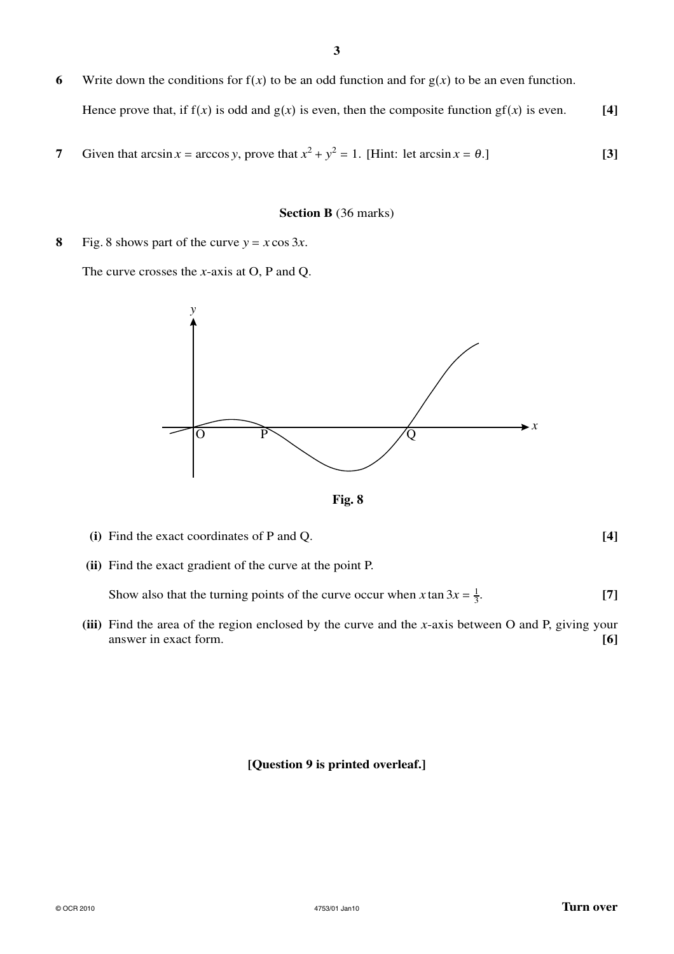- **6** Write down the conditions for  $f(x)$  to be an odd function and for  $g(x)$  to be an even function.
	- Hence prove that, if  $f(x)$  is odd and  $g(x)$  is even, then the composite function  $gf(x)$  is even. [4]
- **7** Given that  $\arcsin x = \arccos y$ , prove that  $x^2 + y^2 = 1$ . [Hint: let  $\arcsin x = \theta$ .] [3]

### **Section B** (36 marks)

**8** Fig. 8 shows part of the curve  $y = x \cos 3x$ .

The curve crosses the *x*-axis at O, P and Q.



**Fig. 8**

- **(i)** Find the exact coordinates of P and Q. **[4]**
- **(ii)** Find the exact gradient of the curve at the point P.

Show also that the turning points of the curve occur when *x* tan  $3x = \frac{1}{3}$ . **[7]**

**(iii)** Find the area of the region enclosed by the curve and the *x*-axis between O and P, giving your answer in exact form. **[6]**

## **[Question 9 is printed overleaf.]**